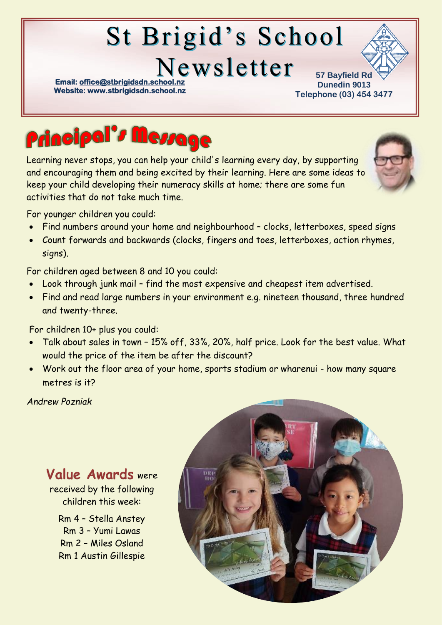# St Brigid's School

Newsletter

**Email: office@stbrigidsdn.school Website[: www.stbrigidsdn.school.nz](http://www.stbrigidsdn.school.nz/)** 

**57 Bayfield Rd Dunedin 9013 Telephone (03) 454 3477** 



Learning never stops, you can help your child's learning every day, by supporting and encouraging them and being excited by their learning. Here are some ideas to keep your child developing their numeracy skills at home; there are some fun activities that do not take much time.

For younger children you could:

- Find numbers around your home and neighbourhood clocks, letterboxes, speed signs
- Count forwards and backwards (clocks, fingers and toes, letterboxes, action rhymes, signs).

For children aged between 8 and 10 you could:

- Look through junk mail find the most expensive and cheapest item advertised.
- Find and read large numbers in your environment e.g. nineteen thousand, three hundred and twenty-three.

For children 10+ plus you could:

- Talk about sales in town 15% off, 33%, 20%, half price. Look for the best value. What would the price of the item be after the discount?
- Work out the floor area of your home, sports stadium or wharenui how many square metres is it?

*Andrew Pozniak*

#### Value Awards were received by the following children this week: Rm 4 – Stella Anstey Rm 3 – Yumi Lawas Rm 2 – Miles Osland Rm 1 Austin Gillespie

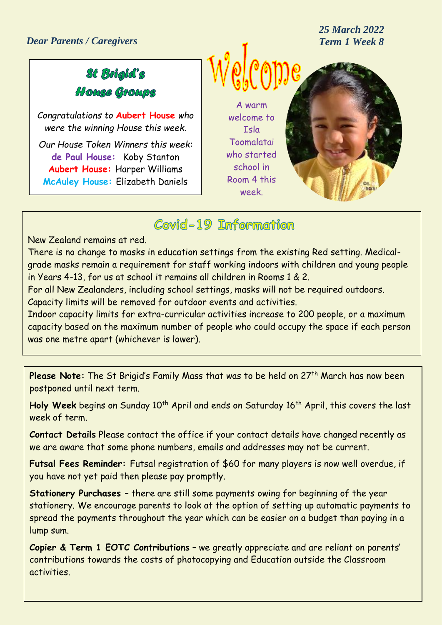*25 March 2022*

# St Bolgld's House Groups

*Congratulations to* **Aubert House** *who were the winning House this week.*

*Our House Token Winners this week:* **de Paul House:** Koby Stanton **Aubert House:** Harper Williams **McAuley House:** Elizabeth Daniels

A warm welcome to Isla Toomalatai who started school in Room 4 this week.



# Covid-19 Information

New Zealand remains at red.

There is no change to masks in education settings from the existing Red setting. Medicalgrade masks remain a requirement for staff working indoors with children and young people in Years 4-13, for us at school it remains all children in Rooms 1 & 2.

For all New Zealanders, including school settings, masks will not be required outdoors. Capacity limits will be removed for outdoor events and activities.

Indoor capacity limits for extra-curricular activities increase to 200 people, or a maximum capacity based on the maximum number of people who could occupy the space if each person was one metre apart (whichever is lower).

Please Note: The St Brigid's Family Mass that was to be held on 27<sup>th</sup> March has now been postponed until next term.

Holy Week begins on Sunday 10<sup>th</sup> April and ends on Saturday 16<sup>th</sup> April, this covers the last week of term.

**Contact Details** Please contact the office if your contact details have changed recently as we are aware that some phone numbers, emails and addresses may not be current.

**Futsal Fees Reminder:** Futsal registration of \$60 for many players is now well overdue, if you have not yet paid then please pay promptly.

**Stationery Purchases** – there are still some payments owing for beginning of the year stationery. We encourage parents to look at the option of setting up automatic payments to spread the payments throughout the year which can be easier on a budget than paying in a lump sum.

**Copier & Term 1 EOTC Contributions** – we greatly appreciate and are reliant on parents' contributions towards the costs of photocopying and Education outside the Classroom activities.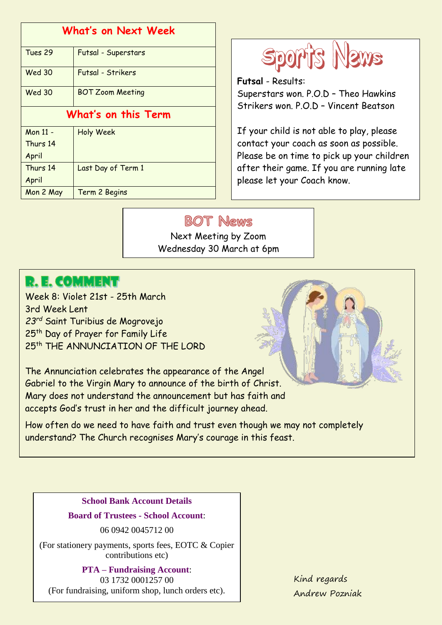| What's on Next Week |                         |
|---------------------|-------------------------|
| Tues 29             | Futsal - Superstars     |
| <b>Wed 30</b>       | Futsal - Strikers       |
| <b>Wed 30</b>       | <b>BOT Zoom Meeting</b> |
| What's on this Term |                         |
| Mon 11 -            | <b>Holy Week</b>        |
| Thurs 14            |                         |
| April               |                         |
| Thurs 14            | Last Day of Term 1      |
| April               |                         |
| Mon 2 May           | Term 2 Begins           |



**Futsal** - Results: Superstars won. P.O.D – Theo Hawkins Strikers won. P.O.D – Vincent Beatson

If your child is not able to play, please contact your coach as soon as possible. Please be on time to pick up your children after their game. If you are running late please let your Coach know.

#### **BOT News**

Next Meeting by Zoom Wednesday 30 March at 6pm

## **R. E. COMMENT**

Week 8: Violet 21st - 25th March 3rd Week Lent *23rd* Saint Turibius de Mogrovejo 25th Day of Prayer for Family Life 25<sup>th</sup> THE ANNUNCIATION OF THE LORD

The Annunciation celebrates the appearance of the Angel Gabriel to the Virgin Mary to announce of the birth of Christ. Mary does not understand the announcement but has faith and accepts God's trust in her and the difficult journey ahead.

How often do we need to have faith and trust even though we may not completely understand? The Church recognises Mary's courage in this feast.

> **School Bank Account Details Board of Trustees - School Account**:

> > 06 0942 0045712 00

(For stationery payments, sports fees, EOTC & Copier contributions etc)

**PTA – Fundraising Account**: 03 1732 0001257 00 (For fundraising, uniform shop, lunch orders etc).

Kind regards Andrew Pozniak